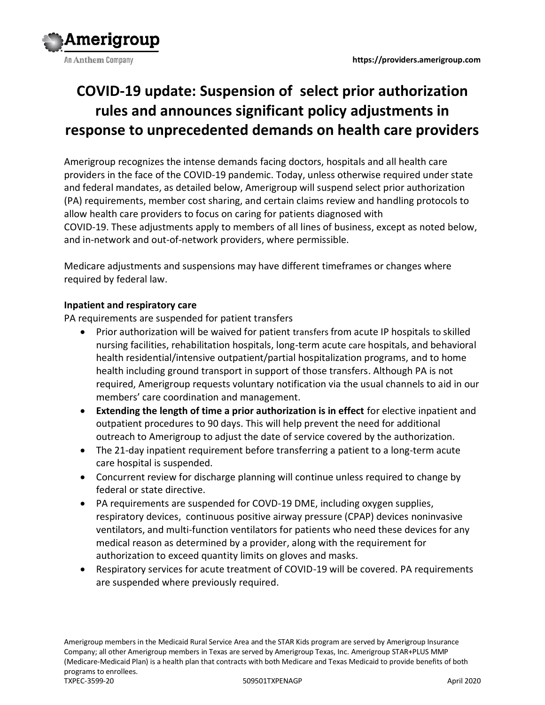

# **COVID-19 update: Suspension of select prior authorization rules and announces significant policy adjustments in response to unprecedented demands on health care providers**

Amerigroup recognizes the intense demands facing doctors, hospitals and all health care providers in the face of the COVID-19 pandemic. Today, unless otherwise required under state and federal mandates, as detailed below, Amerigroup will suspend select prior authorization (PA) requirements, member cost sharing, and certain claims review and handling protocols to allow health care providers to focus on caring for patients diagnosed with COVID-19. These adjustments apply to members of all lines of business, except as noted below, and in-network and out-of-network providers, where permissible.

Medicare adjustments and suspensions may have different timeframes or changes where required by federal law.

## **Inpatient and respiratory care**

PA requirements are suspended for patient transfers

- Prior authorization will be waived for patient transfers from acute IP hospitals to skilled nursing facilities, rehabilitation hospitals, long-term acute care hospitals, and behavioral health residential/intensive outpatient/partial hospitalization programs, and to home health including ground transport in support of those transfers. Although PA is not required, Amerigroup requests voluntary notification via the usual channels to aid in our members' care coordination and management.
- **Extending the length of time a prior authorization is in effect** for elective inpatient and outpatient procedures to 90 days. This will help prevent the need for additional outreach to Amerigroup to adjust the date of service covered by the authorization.
- The 21-day inpatient requirement before transferring a patient to a long-term acute care hospital is suspended.
- Concurrent review for discharge planning will continue unless required to change by federal or state directive.
- PA requirements are suspended for COVD-19 DME, including oxygen supplies, respiratory devices, continuous positive airway pressure (CPAP) devices noninvasive ventilators, and multi-function ventilators for patients who need these devices for any medical reason as determined by a provider, along with the requirement for authorization to exceed quantity limits on gloves and masks.
- Respiratory services for acute treatment of COVID-19 will be covered. PA requirements are suspended where previously required.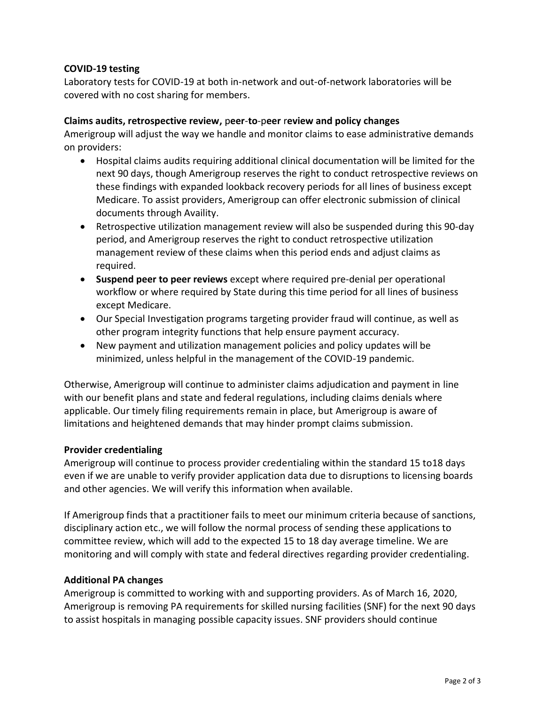### **COVID-19 testing**

Laboratory tests for COVID-19 at both in-network and out-of-network laboratories will be covered with no cost sharing for members.

#### **Claims audits, retrospective review,** p**eer**-**to**-p**eer** r**eview and policy changes**

Amerigroup will adjust the way we handle and monitor claims to ease administrative demands on providers:

- Hospital claims audits requiring additional clinical documentation will be limited for the next 90 days, though Amerigroup reserves the right to conduct retrospective reviews on these findings with expanded lookback recovery periods for all lines of business except Medicare. To assist providers, Amerigroup can offer electronic submission of clinical documents through Availity.
- Retrospective utilization management review will also be suspended during this 90-day period, and Amerigroup reserves the right to conduct retrospective utilization management review of these claims when this period ends and adjust claims as required.
- **Suspend peer to peer reviews** except where required pre-denial per operational workflow or where required by State during this time period for all lines of business except Medicare.
- Our Special Investigation programs targeting provider fraud will continue, as well as other program integrity functions that help ensure payment accuracy.
- New payment and utilization management policies and policy updates will be minimized, unless helpful in the management of the COVID-19 pandemic.

Otherwise, Amerigroup will continue to administer claims adjudication and payment in line with our benefit plans and state and federal regulations, including claims denials where applicable. Our timely filing requirements remain in place, but Amerigroup is aware of limitations and heightened demands that may hinder prompt claims submission.

#### **Provider credentialing**

Amerigroup will continue to process provider credentialing within the standard 15 to18 days even if we are unable to verify provider application data due to disruptions to licensing boards and other agencies. We will verify this information when available.

If Amerigroup finds that a practitioner fails to meet our minimum criteria because of sanctions, disciplinary action etc., we will follow the normal process of sending these applications to committee review, which will add to the expected 15 to 18 day average timeline. We are monitoring and will comply with state and federal directives regarding provider credentialing.

#### **Additional PA changes**

Amerigroup is committed to working with and supporting providers. As of March 16, 2020, Amerigroup is removing PA requirements for skilled nursing facilities (SNF) for the next 90 days to assist hospitals in managing possible capacity issues. SNF providers should continue